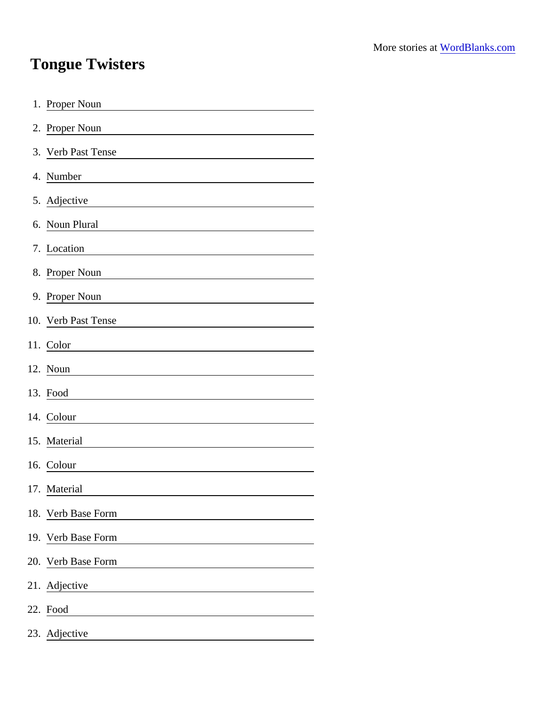## Tongue Twisters

| 1. Proper Noun                                                                                                                     |
|------------------------------------------------------------------------------------------------------------------------------------|
| 2. Proper Noun                                                                                                                     |
| 3. Verb Past Tense                                                                                                                 |
| 4. Number<br><u> 1980 - Johann Barn, mars ann an t-Amhain Aonaich an t-Aonaich an t-Aonaich an t-Aonaich an t-Aonaich an t-Aon</u> |
| 5. Adjective<br><u> 1989 - Johann Stein, mars an t-Amerikaansk kommunister (</u>                                                   |
| 6. Noun Plural                                                                                                                     |
| 7. Location                                                                                                                        |
| 8. Proper Noun                                                                                                                     |
| 9. Proper Noun                                                                                                                     |
| 10. Verb Past Tense                                                                                                                |
| 11. Color                                                                                                                          |
| 12. Noun                                                                                                                           |
| 13. Food                                                                                                                           |
| 14. Colour                                                                                                                         |
| 15. Material                                                                                                                       |
| 16. Colour                                                                                                                         |
| 17. Material                                                                                                                       |
| 18. Verb Base Form                                                                                                                 |
| 19. Verb Base Form                                                                                                                 |
| 20. Verb Base Form                                                                                                                 |
| 21. Adjective                                                                                                                      |
| 22. Food<br><u> 1980 - Johann Stoff, fransk politik (</u>                                                                          |
| 23. Adjective                                                                                                                      |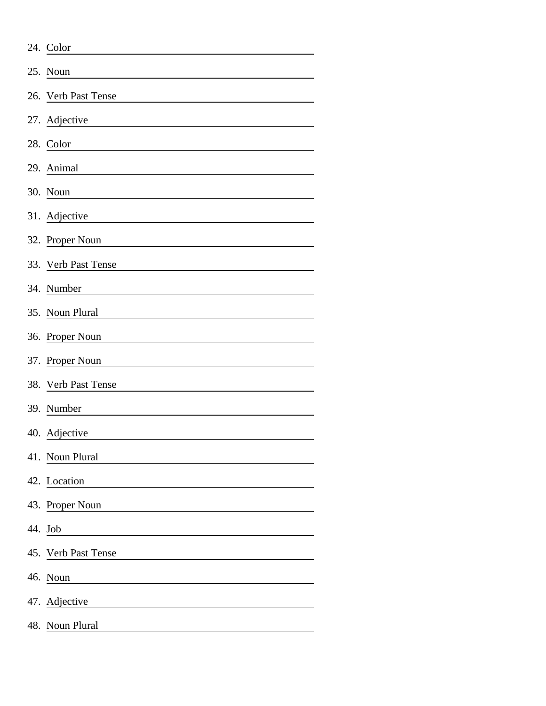| 24. Color                                                             |  |  |  |  |  |  |  |
|-----------------------------------------------------------------------|--|--|--|--|--|--|--|
| 25. Noun                                                              |  |  |  |  |  |  |  |
| 26. Verb Past Tense                                                   |  |  |  |  |  |  |  |
| 27. Adjective                                                         |  |  |  |  |  |  |  |
| 28. Color                                                             |  |  |  |  |  |  |  |
| 29. Animal                                                            |  |  |  |  |  |  |  |
| 30. Noun                                                              |  |  |  |  |  |  |  |
| 31. Adjective                                                         |  |  |  |  |  |  |  |
| 32. Proper Noun                                                       |  |  |  |  |  |  |  |
| 33. Verb Past Tense                                                   |  |  |  |  |  |  |  |
| 34. Number                                                            |  |  |  |  |  |  |  |
| 35. Noun Plural                                                       |  |  |  |  |  |  |  |
| 36. Proper Noun                                                       |  |  |  |  |  |  |  |
| 37. Proper Noun                                                       |  |  |  |  |  |  |  |
| 38. Verb Past Tense                                                   |  |  |  |  |  |  |  |
| 39. Number                                                            |  |  |  |  |  |  |  |
| 40. Adjective                                                         |  |  |  |  |  |  |  |
| 41. Noun Plural                                                       |  |  |  |  |  |  |  |
| 42. Location                                                          |  |  |  |  |  |  |  |
| 43. Proper Noun                                                       |  |  |  |  |  |  |  |
| 44. Job                                                               |  |  |  |  |  |  |  |
| 45. Verb Past Tense                                                   |  |  |  |  |  |  |  |
| 46. Noun<br><u> 1980 - Johann Barn, mars eta bainar eta idazlea (</u> |  |  |  |  |  |  |  |
| 47. Adjective                                                         |  |  |  |  |  |  |  |
| 48. Noun Plural                                                       |  |  |  |  |  |  |  |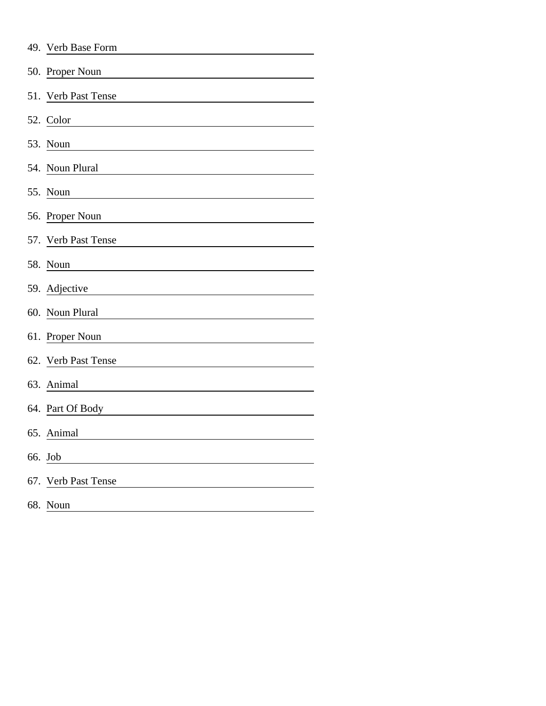| 49. Verb Base Form  |  |  |  |  |  |  |  |
|---------------------|--|--|--|--|--|--|--|
| 50. Proper Noun     |  |  |  |  |  |  |  |
| 51. Verb Past Tense |  |  |  |  |  |  |  |
| 52. Color           |  |  |  |  |  |  |  |
| 53. Noun            |  |  |  |  |  |  |  |
| 54. Noun Plural     |  |  |  |  |  |  |  |
| 55. Noun            |  |  |  |  |  |  |  |
| 56. Proper Noun     |  |  |  |  |  |  |  |
| 57. Verb Past Tense |  |  |  |  |  |  |  |
| 58. Noun            |  |  |  |  |  |  |  |
| 59. Adjective       |  |  |  |  |  |  |  |
| 60. Noun Plural     |  |  |  |  |  |  |  |
| 61. Proper Noun     |  |  |  |  |  |  |  |
| 62. Verb Past Tense |  |  |  |  |  |  |  |
| 63. Animal          |  |  |  |  |  |  |  |
| 64. Part Of Body    |  |  |  |  |  |  |  |
| 65. Animal          |  |  |  |  |  |  |  |
| 66. Job             |  |  |  |  |  |  |  |
| 67. Verb Past Tense |  |  |  |  |  |  |  |
| 68. Noun            |  |  |  |  |  |  |  |